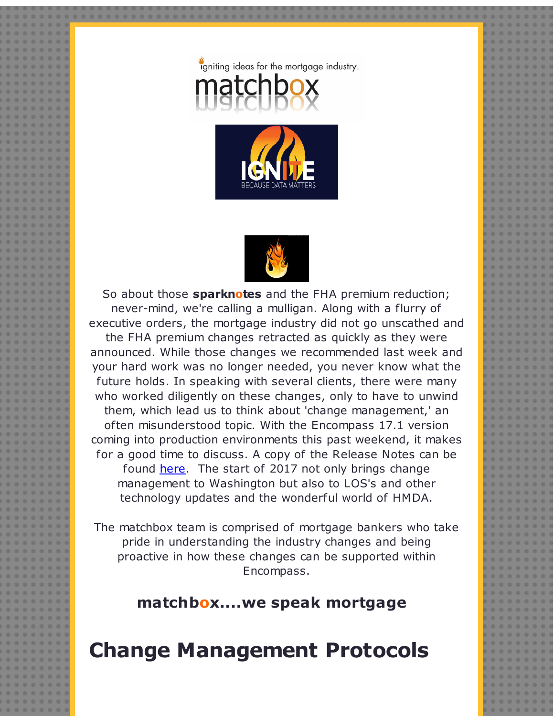





So about those **sparknotes** and the FHA premium reduction; never-mind, we're calling a mulligan. Along with a flurry of executive orders, the mortgage industry did not go unscathed and

the FHA premium changes retracted as quickly as they were announced. While those changes we recommended last week and your hard work was no longer needed, you never know what the future holds. In speaking with several clients, there were many who worked diligently on these changes, only to have to unwind them, which lead us to think about 'change management,' an often misunderstood topic. With the Encompass 17.1 version coming into production environments this past weekend, it makes for a good time to discuss. A copy of the Release Notes can be found [here](http://r20.rs6.net/tn.jsp?f=001WWH_SckZF7qY4lpUDYLiBUKgIn7Gb5YKkwdjTWtGEkBPDr2zmlozL3iSTcT-PufkKN_AvqOqyZSx3JwlWUg142GBFwwLi5oFyerBqCKDL_p4h1ncYmOhj6QD2wDqzhYZoL-Q7JTUrlMueR-IJkfBAr8cxNVYU3gWOFlFYh5EfdWhEQuQ6cEtjWWR9AjM4StHZjCAMGWcSjWFMNPgw_IJpXPEJbB5u2Kn5u1XplpyxRtMBE3StQHOPg==&c=&ch=). The start of 2017 not only brings change management to Washington but also to LOS's and other technology updates and the wonderful world of HMDA.

The matchbox team is comprised of mortgage bankers who take pride in understanding the industry changes and being proactive in how these changes can be supported within Encompass.

## **matchbox....we speak mortgage**

## **Change Management Protocols**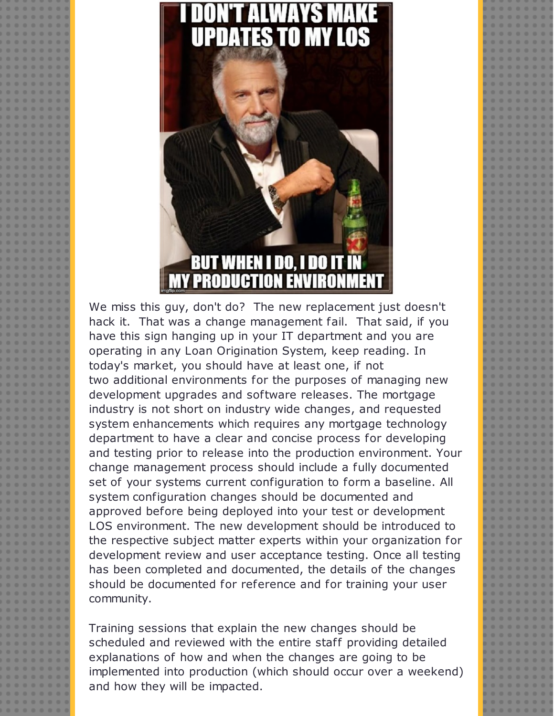

We miss this guy, don't do? The new replacement just doesn't hack it. That was a change management fail. That said, if you have this sign hanging up in your IT department and you are operating in any Loan Origination System, keep reading. In today's market, you should have at least one, if not two additional environments for the purposes of managing new development upgrades and software releases. The mortgage industry is not short on industry wide changes, and requested system enhancements which requires any mortgage technology department to have a clear and concise process for developing and testing prior to release into the production environment. Your change management process should include a fully documented set of your systems current configuration to form a baseline. All system configuration changes should be documented and approved before being deployed into your test or development LOS environment. The new development should be introduced to the respective subject matter experts within your organization for development review and user acceptance testing. Once all testing has been completed and documented, the details of the changes should be documented for reference and for training your user community.

Training sessions that explain the new changes should be scheduled and reviewed with the entire staff providing detailed explanations of how and when the changes are going to be implemented into production (which should occur over a weekend) and how they will be impacted.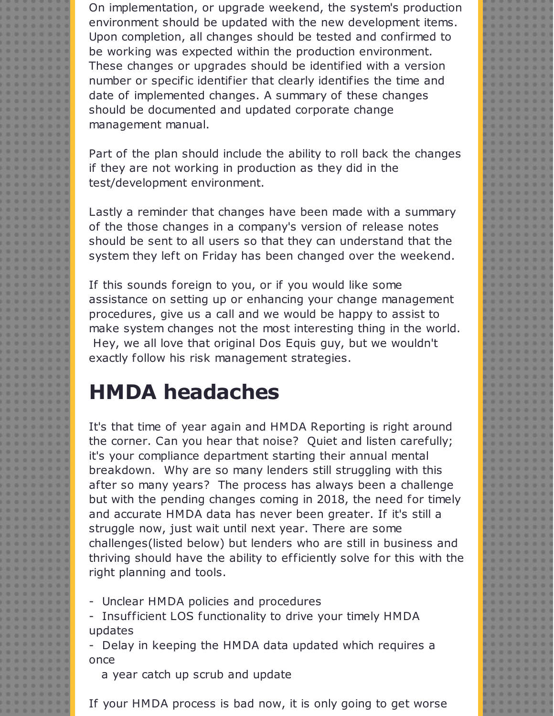On implementation, or upgrade weekend, the system's production environment should be updated with the new development items. Upon completion, all changes should be tested and confirmed to be working was expected within the production environment. These changes or upgrades should be identified with a version number or specific identifier that clearly identifies the time and date of implemented changes. A summary of these changes should be documented and updated corporate change management manual.

Part of the plan should include the ability to roll back the changes if they are not working in production as they did in the test/development environment.

Lastly a reminder that changes have been made with a summary of the those changes in a company's version of release notes should be sent to all users so that they can understand that the system they left on Friday has been changed over the weekend.

If this sounds foreign to you, or if you would like some assistance on setting up or enhancing your change management procedures, give us a call and we would be happy to assist to make system changes not the most interesting thing in the world. Hey, we all love that original Dos Equis guy, but we wouldn't exactly follow his risk management strategies.

## **HMDA headaches**

It's that time of year again and HMDA Reporting is right around the corner. Can you hear that noise? Quiet and listen carefully; it's your compliance department starting their annual mental breakdown. Why are so many lenders still struggling with this after so many years? The process has always been a challenge but with the pending changes coming in 2018, the need for timely and accurate HMDA data has never been greater. If it's still a struggle now, just wait until next year. There are some challenges(listed below) but lenders who are still in business and thriving should have the ability to efficiently solve for this with the right planning and tools.

- Unclear HMDA policies and procedures

- Insufficient LOS functionality to drive your timely HMDA updates

- Delay in keeping the HMDA data updated which requires a once

a year catch up scrub and update

If your HMDA process is bad now, it is only going to get worse